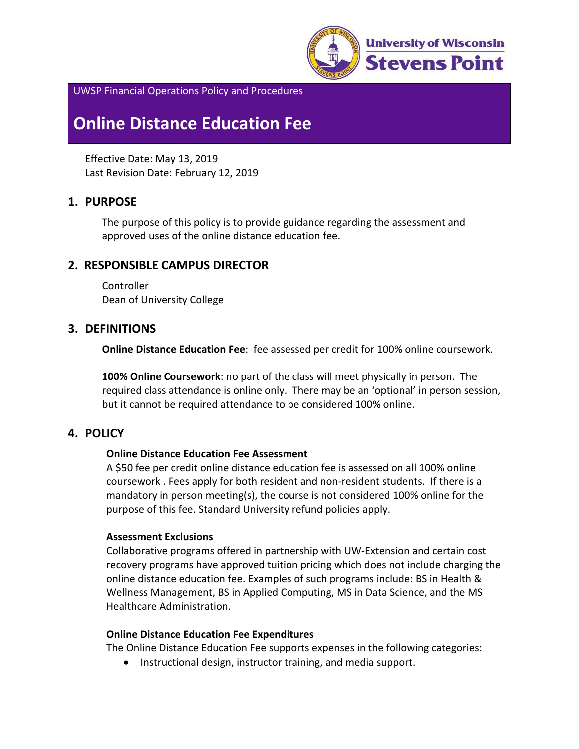

UWSP Financial Operations Policy and Procedures

# **Online Distance Education Fee**

Effective Date: May 13, 2019 Last Revision Date: February 12, 2019

# **1. PURPOSE**

The purpose of this policy is to provide guidance regarding the assessment and approved uses of the online distance education fee.

# **2. RESPONSIBLE CAMPUS DIRECTOR**

**Controller** Dean of University College

# **3. DEFINITIONS**

**Online Distance Education Fee**: fee assessed per credit for 100% online coursework.

**100% Online Coursework**: no part of the class will meet physically in person. The required class attendance is online only. There may be an 'optional' in person session, but it cannot be required attendance to be considered 100% online.

## **4. POLICY**

#### **Online Distance Education Fee Assessment**

A \$50 fee per credit online distance education fee is assessed on all 100% online coursework . Fees apply for both resident and non-resident students. If there is a mandatory in person meeting(s), the course is not considered 100% online for the purpose of this fee. Standard University refund policies apply.

#### **Assessment Exclusions**

Collaborative programs offered in partnership with UW-Extension and certain cost recovery programs have approved tuition pricing which does not include charging the online distance education fee. Examples of such programs include: BS in Health & Wellness Management, BS in Applied Computing, MS in Data Science, and the MS Healthcare Administration.

#### **Online Distance Education Fee Expenditures**

The Online Distance Education Fee supports expenses in the following categories:

• Instructional design, instructor training, and media support.